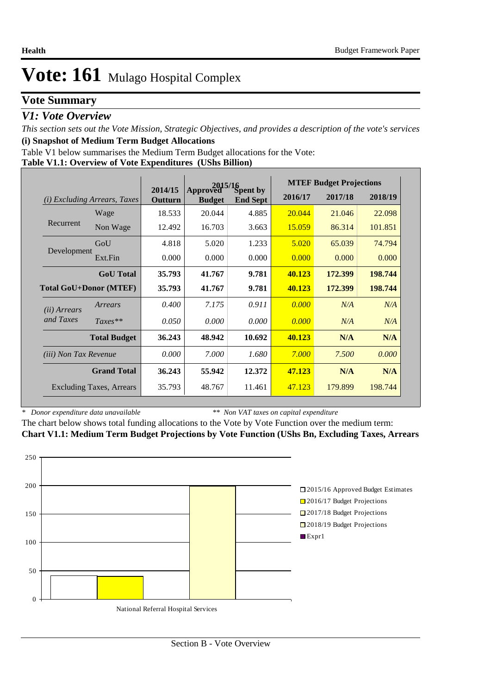### **Vote Summary**

### *V1: Vote Overview*

*This section sets out the Vote Mission, Strategic Objectives, and provides a description of the vote's services* **(i) Snapshot of Medium Term Budget Allocations** 

Table V1 below summarises the Medium Term Budget allocations for the Vote:

**Table V1.1: Overview of Vote Expenditures (UShs Billion)**

|                              |                                 | 2015/16            |                           |                             |         | <b>MTEF Budget Projections</b> |         |
|------------------------------|---------------------------------|--------------------|---------------------------|-----------------------------|---------|--------------------------------|---------|
| (i)                          | <i>Excluding Arrears, Taxes</i> | 2014/15<br>Outturn | Approved<br><b>Budget</b> | Spent by<br><b>End Sept</b> | 2016/17 | 2017/18                        | 2018/19 |
|                              | Wage                            | 18.533             | 20.044                    | 4.885                       | 20.044  | 21.046                         | 22.098  |
| Recurrent                    | Non Wage                        | 12.492             | 16.703                    | 3.663                       | 15.059  | 86.314                         | 101.851 |
|                              | GoU                             | 4.818              | 5.020                     | 1.233                       | 5.020   | 65.039                         | 74.794  |
| Development                  | Ext.Fin                         | 0.000              | 0.000                     | 0.000                       | 0.000   | 0.000                          | 0.000   |
|                              | <b>GoU</b> Total                | 35.793             | 41.767                    | 9.781                       | 40.123  | 172.399                        | 198.744 |
|                              | <b>Total GoU+Donor (MTEF)</b>   | 35.793             | 41.767                    | 9.781                       | 40.123  | 172.399                        | 198.744 |
| ( <i>ii</i> ) Arrears        | Arrears                         | 0.400              | 7.175                     | 0.911                       | 0.000   | N/A                            | N/A     |
| and Taxes                    | $Taxes**$                       | 0.050              | 0.000                     | 0.000                       | 0.000   | N/A                            | N/A     |
|                              | <b>Total Budget</b>             | 36.243             | 48.942                    | 10.692                      | 40.123  | N/A                            | N/A     |
| <i>(iii)</i> Non Tax Revenue |                                 | 0.000              | 7.000                     | 1.680                       | 7.000   | 7.500                          | 0.000   |
|                              | <b>Grand Total</b>              | 36.243             | 55.942                    | 12.372                      | 47.123  | N/A                            | N/A     |
|                              | <b>Excluding Taxes, Arrears</b> | 35.793             | 48.767                    | 11.461                      | 47.123  | 179.899                        | 198.744 |

*\* Donor expenditure data unavailable*

*\*\* Non VAT taxes on capital expenditure*

The chart below shows total funding allocations to the Vote by Vote Function over the medium term: **Chart V1.1: Medium Term Budget Projections by Vote Function (UShs Bn, Excluding Taxes, Arrears**

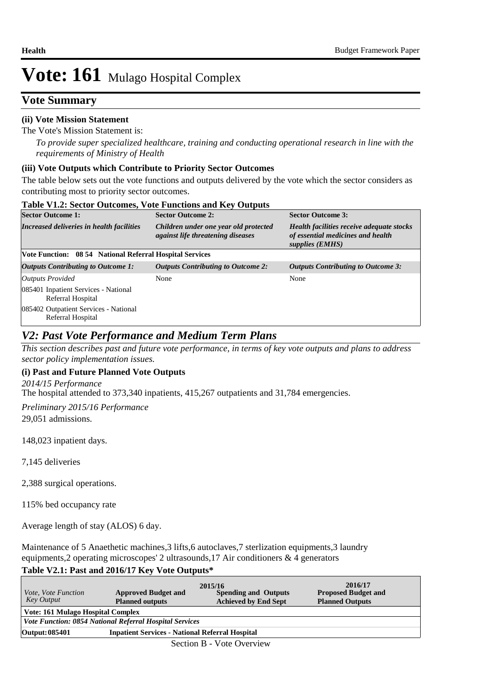### **Vote Summary**

### **(ii) Vote Mission Statement**

#### The Vote's Mission Statement is:

*To provide super specialized healthcare, training and conducting operational research in line with the requirements of Ministry of Health*

#### **(iii) Vote Outputs which Contribute to Priority Sector Outcomes**

The table below sets out the vote functions and outputs delivered by the vote which the sector considers as contributing most to priority sector outcomes.

| <b>Table V1.2: Sector Outcomes, Vote Functions and Key Outputs</b> |                                                                                   |                                                                                                   |  |  |  |  |  |
|--------------------------------------------------------------------|-----------------------------------------------------------------------------------|---------------------------------------------------------------------------------------------------|--|--|--|--|--|
| <b>Sector Outcome 1:</b>                                           | <b>Sector Outcome 2:</b>                                                          | <b>Sector Outcome 3:</b>                                                                          |  |  |  |  |  |
| Increased deliveries in health facilities                          | Children under one year old protected<br><i>against life threatening diseases</i> | Health facilities receive adequate stocks<br>of essential medicines and health<br>supplies (EMHS) |  |  |  |  |  |
| Vote Function: 08 54 National Referral Hospital Services           |                                                                                   |                                                                                                   |  |  |  |  |  |
| <b>Outputs Contributing to Outcome 1:</b>                          | <b>Outputs Contributing to Outcome 2:</b>                                         | <b>Outputs Contributing to Outcome 3:</b>                                                         |  |  |  |  |  |
| Outputs Provided                                                   | None                                                                              | None                                                                                              |  |  |  |  |  |
| 085401 Inpatient Services - National<br>Referral Hospital          |                                                                                   |                                                                                                   |  |  |  |  |  |
| 085402 Outpatient Services - National<br>Referral Hospital         |                                                                                   |                                                                                                   |  |  |  |  |  |

### *V2: Past Vote Performance and Medium Term Plans*

*This section describes past and future vote performance, in terms of key vote outputs and plans to address sector policy implementation issues.* 

### **(i) Past and Future Planned Vote Outputs**

The hospital attended to 373,340 inpatients, 415,267 outpatients and 31,784 emergencies. *2014/15 Performance*

29,051 admissions. *Preliminary 2015/16 Performance*

148,023 inpatient days.

7,145 deliveries

2,388 surgical operations.

115% bed occupancy rate

Average length of stay (ALOS) 6 day.

Maintenance of 5 Anaethetic machines,3 lifts,6 autoclaves,7 sterlization equipments,3 laundry equipments,2 operating microscopes' 2 ultrasounds,17 Air conditioners & 4 generators

### **Table V2.1: Past and 2016/17 Key Vote Outputs\***

|                                                                          |                                                                | 2015/16                     | 2016/17                    |  |  |  |  |
|--------------------------------------------------------------------------|----------------------------------------------------------------|-----------------------------|----------------------------|--|--|--|--|
| <i>Vote, Vote Function</i>                                               | <b>Approved Budget and</b>                                     | <b>Spending and Outputs</b> | <b>Proposed Budget and</b> |  |  |  |  |
| Key Output                                                               | <b>Planned outputs</b>                                         | <b>Achieved by End Sept</b> | <b>Planned Outputs</b>     |  |  |  |  |
| <b>Vote: 161 Mulago Hospital Complex</b>                                 |                                                                |                             |                            |  |  |  |  |
|                                                                          | <b>Vote Function: 0854 National Referral Hospital Services</b> |                             |                            |  |  |  |  |
| <b>Inpatient Services - National Referral Hospital</b><br>Output: 085401 |                                                                |                             |                            |  |  |  |  |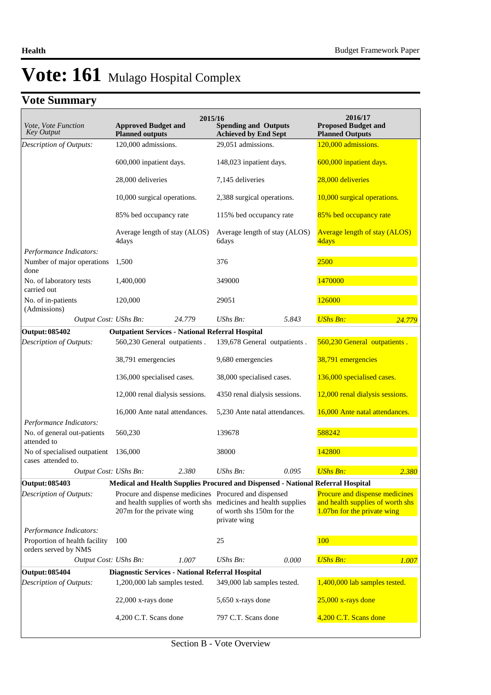# **Vote Summary**

| <i>Vote, Vote Function</i><br><b>Key Output</b>                       | <b>Approved Budget and</b><br><b>Planned outputs</b>    | 2015/16 | <b>Spending and Outputs</b><br><b>Achieved by End Sept</b>                                                  |       | 2016/17<br><b>Proposed Budget and</b><br><b>Planned Outputs</b> |        |
|-----------------------------------------------------------------------|---------------------------------------------------------|---------|-------------------------------------------------------------------------------------------------------------|-------|-----------------------------------------------------------------|--------|
| Description of Outputs:                                               | 120,000 admissions.                                     |         | 29,051 admissions.                                                                                          |       | 120,000 admissions.                                             |        |
|                                                                       | 600,000 inpatient days.                                 |         | 148,023 inpatient days.                                                                                     |       | 600,000 inpatient days.                                         |        |
|                                                                       | 28,000 deliveries                                       |         | 7,145 deliveries                                                                                            |       | 28,000 deliveries                                               |        |
|                                                                       | 10,000 surgical operations.                             |         | 2,388 surgical operations.                                                                                  |       | 10,000 surgical operations.                                     |        |
|                                                                       | 85% bed occupancy rate                                  |         | 115% bed occupancy rate                                                                                     |       | 85% bed occupancy rate                                          |        |
|                                                                       | Average length of stay (ALOS)<br>4days                  |         | Average length of stay (ALOS)<br>6days                                                                      |       | <b>Average length of stay (ALOS)</b><br>4days                   |        |
| Performance Indicators:                                               |                                                         |         |                                                                                                             |       |                                                                 |        |
| Number of major operations<br>done                                    | 1,500                                                   |         | 376                                                                                                         |       | 2500                                                            |        |
| No. of laboratory tests<br>carried out                                | 1,400,000                                               |         | 349000                                                                                                      |       | 1470000                                                         |        |
| No. of in-patients<br>(Admissions)                                    | 120,000                                                 |         | 29051                                                                                                       |       | 126000                                                          |        |
| Output Cost: UShs Bn:                                                 |                                                         | 24.779  | UShs Bn:                                                                                                    | 5.843 | <b>UShs Bn:</b>                                                 | 24.779 |
| <b>Output: 085402</b>                                                 | <b>Outpatient Services - National Referral Hospital</b> |         |                                                                                                             |       |                                                                 |        |
| Description of Outputs:                                               | 560,230 General outpatients.                            |         | 139,678 General outpatients.                                                                                |       | 560,230 General outpatients.                                    |        |
|                                                                       | 38,791 emergencies                                      |         | 9,680 emergencies                                                                                           |       | 38,791 emergencies                                              |        |
|                                                                       | 136,000 specialised cases.                              |         | 38,000 specialised cases.                                                                                   |       | 136,000 specialised cases.                                      |        |
|                                                                       | 12,000 renal dialysis sessions.                         |         | 4350 renal dialysis sessions.                                                                               |       | 12,000 renal dialysis sessions.                                 |        |
|                                                                       | 16,000 Ante natal attendances.                          |         | 5,230 Ante natal attendances.                                                                               |       | 16,000 Ante natal attendances.                                  |        |
| Performance Indicators:<br>No. of general out-patients<br>attended to | 560,230                                                 |         | 139678                                                                                                      |       | 588242                                                          |        |
| No of specialised outpatient<br>cases attended to.                    | 136,000                                                 |         | 38000                                                                                                       |       | 142800                                                          |        |
| Output Cost: UShs Bn:                                                 |                                                         | 2.380   | UShs Bn:                                                                                                    | 0.095 | <b>UShs Bn:</b>                                                 | 2.380  |
| Output: 085403                                                        |                                                         |         | Medical and Health Supplies Procured and Dispensed - National Referral Hospital                             |       |                                                                 |        |
| Description of Outputs:                                               |                                                         |         | Procure and dispense medicines Procured and dispensed                                                       |       | Procure and dispense medicines                                  |        |
|                                                                       | 207m for the private wing                               |         | and health supplies of worth shs medicines and health supplies<br>of worth shs 150m for the<br>private wing |       | and health supplies of worth shs<br>1.07bn for the private wing |        |
| Performance Indicators:                                               |                                                         |         |                                                                                                             |       |                                                                 |        |
| Proportion of health facility<br>orders served by NMS                 | 100                                                     |         | 25                                                                                                          |       | 100                                                             |        |
| Output Cost: UShs Bn:                                                 |                                                         | 1.007   | UShs Bn:                                                                                                    | 0.000 | <b>UShs Bn:</b>                                                 | 1.007  |
| <b>Output: 085404</b>                                                 | Diagnostic Services - National Referral Hospital        |         |                                                                                                             |       |                                                                 |        |
| Description of Outputs:                                               | 1,200,000 lab samples tested.                           |         | 349,000 lab samples tested.                                                                                 |       | 1,400,000 lab samples tested.                                   |        |
|                                                                       | $22,000$ x-rays done                                    |         | 5,650 x-rays done                                                                                           |       | $25,000$ x-rays done                                            |        |
|                                                                       | 4,200 C.T. Scans done                                   |         | 797 C.T. Scans done                                                                                         |       | 4,200 C.T. Scans done                                           |        |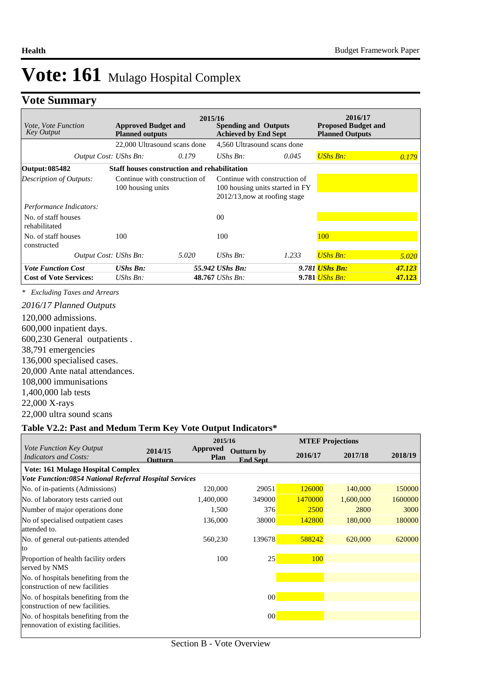# **Vote Summary**

| <i>Vote, Vote Function</i><br><b>Key Output</b> | <b>Approved Budget and</b><br><b>Planned outputs</b> | 2015/16 | <b>Spending and Outputs</b><br><b>Achieved by End Sept</b>                                           |       | 2016/17<br><b>Proposed Budget and</b><br><b>Planned Outputs</b> |        |
|-------------------------------------------------|------------------------------------------------------|---------|------------------------------------------------------------------------------------------------------|-------|-----------------------------------------------------------------|--------|
|                                                 | 22,000 Ultrasound scans done                         |         | 4,560 Ultrasound scans done                                                                          |       |                                                                 |        |
| Output Cost: UShs Bn:                           |                                                      | 0.179   | UShs $Bn$ :                                                                                          | 0.045 | <b>UShs Bn:</b>                                                 | 0.179  |
| Output: 085482                                  | <b>Staff houses construction and rehabilitation</b>  |         |                                                                                                      |       |                                                                 |        |
| Description of Outputs:                         | Continue with construction of<br>100 housing units   |         | Continue with construction of<br>100 housing units started in FY<br>$2012/13$ , now at roofing stage |       |                                                                 |        |
| Performance Indicators:                         |                                                      |         |                                                                                                      |       |                                                                 |        |
| No. of staff houses<br>rehabilitated            |                                                      |         | 0 <sup>0</sup>                                                                                       |       |                                                                 |        |
| No. of staff houses<br>constructed              | 100                                                  |         | 100                                                                                                  |       | <b>100</b>                                                      |        |
| Output Cost: UShs Bn:                           |                                                      | 5.020   | UShs $Bn$ :                                                                                          | 1.233 | <b>UShs Bn:</b>                                                 | 5.020  |
| <b>Vote Function Cost</b>                       | <b>UShs Bn:</b>                                      |         | 55.942 UShs Bn:                                                                                      |       | 9.781 <i>UShs Bn:</i>                                           | 47.123 |
| <b>Cost of Vote Services:</b>                   | UShs $Bn$ :                                          |         | $48.767$ UShs Bn:                                                                                    |       | 9.781 <i>UShs Bn:</i>                                           | 47.123 |

*\* Excluding Taxes and Arrears*

120,000 admissions. 600,000 inpatient days. 600,230 General outpatients . 38,791 emergencies 136,000 specialised cases. 20,000 Ante natal attendances. 108,000 immunisations 1,400,000 lab tests 22,000 X-rays 22,000 ultra sound scans *2016/17 Planned Outputs*

#### **Table V2.2: Past and Medum Term Key Vote Output Indicators\***

|                                                                             |                           | 2015/16                 |                                      |         | <b>MTEF Projections</b> |         |
|-----------------------------------------------------------------------------|---------------------------|-------------------------|--------------------------------------|---------|-------------------------|---------|
| Vote Function Key Output<br><b>Indicators and Costs:</b>                    | 2014/15<br><b>Outturn</b> | Approved<br><b>Plan</b> | <b>Outturn by</b><br><b>End Sept</b> | 2016/17 | 2017/18                 | 2018/19 |
| <b>Vote: 161 Mulago Hospital Complex</b>                                    |                           |                         |                                      |         |                         |         |
| <b>Vote Function:0854 National Referral Hospital Services</b>               |                           |                         |                                      |         |                         |         |
| No. of in-patients (Admissions)                                             |                           | 120,000                 | 29051                                | 126000  | 140,000                 | 150000  |
| No. of laboratory tests carried out                                         |                           | 1,400,000               | 349000                               | 1470000 | 1,600,000               | 1600000 |
| Number of major operations done                                             |                           | 1,500                   | 376                                  | 2500    | 2800                    | 3000    |
| No of specialised outpatient cases<br>attended to.                          |                           | 136,000                 | 38000                                | 142800  | 180,000                 | 180000  |
| No. of general out-patients attended<br>lto                                 |                           | 560,230                 | 139678                               | 588242  | 620,000                 | 620000  |
| Proportion of health facility orders<br>served by NMS                       |                           | 100                     | 25                                   | 100     |                         |         |
| No. of hospitals benefiting from the<br>construction of new facilities      |                           |                         |                                      |         |                         |         |
| No. of hospitals benefiting from the<br>construction of new facilities.     |                           |                         | 00                                   |         |                         |         |
| No. of hospitals benefiting from the<br>rennovation of existing facilities. |                           |                         | 00                                   |         |                         |         |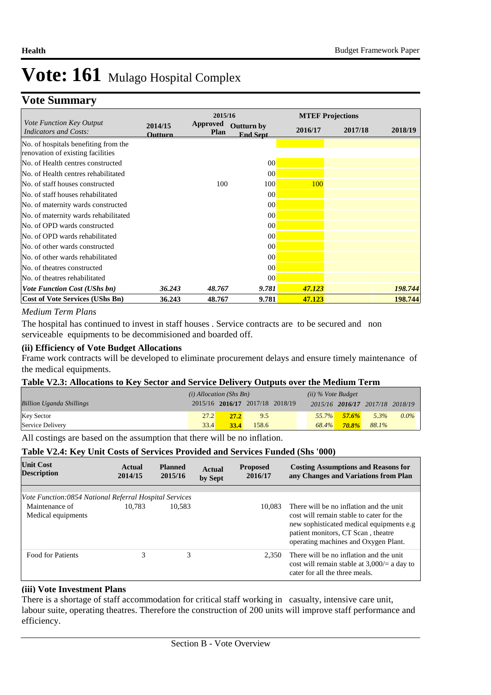# **Vote Summary**

|                                                                           |                    | 2015/16                 |                                      |         | <b>MTEF Projections</b> |         |
|---------------------------------------------------------------------------|--------------------|-------------------------|--------------------------------------|---------|-------------------------|---------|
| Vote Function Key Output<br><b>Indicators and Costs:</b>                  | 2014/15<br>Outturn | <b>Approved</b><br>Plan | <b>Outturn by</b><br><b>End Sept</b> | 2016/17 | 2017/18                 | 2018/19 |
| No. of hospitals benefiting from the<br>renovation of existing facilities |                    |                         |                                      |         |                         |         |
| No. of Health centres constructed                                         |                    |                         | 00                                   |         |                         |         |
| No. of Health centres rehabilitated                                       |                    |                         | 00                                   |         |                         |         |
| No. of staff houses constructed                                           |                    | 100                     | 100                                  | 100     |                         |         |
| No. of staff houses rehabilitated                                         |                    |                         | 00                                   |         |                         |         |
| No. of maternity wards constructed                                        |                    |                         | 00                                   |         |                         |         |
| No. of maternity wards rehabilitated                                      |                    |                         | 0 <sup>0</sup>                       |         |                         |         |
| No. of OPD wards constructed                                              |                    |                         | 0 <sup>0</sup>                       |         |                         |         |
| No. of OPD wards rehabilitated                                            |                    |                         | 0 <sup>0</sup>                       |         |                         |         |
| No. of other wards constructed                                            |                    |                         | 0 <sup>0</sup>                       |         |                         |         |
| No. of other wards rehabilitated                                          |                    |                         | 0 <sup>0</sup>                       |         |                         |         |
| No. of theatres constructed                                               |                    |                         | 0 <sup>0</sup>                       |         |                         |         |
| No. of theatres rehabilitated                                             |                    |                         | 0 <sup>0</sup>                       |         |                         |         |
| <b>Vote Function Cost (UShs bn)</b>                                       | 36.243             | 48.767                  | 9.781                                | 47.123  |                         | 198.744 |
| <b>Cost of Vote Services (UShs Bn)</b>                                    | 36.243             | 48.767                  | 9.781                                | 47.123  |                         | 198.744 |

### *Medium Term Plans*

The hospital has continued to invest in staff houses . Service contracts are to be secured and non serviceable equipments to be decommisioned and boarded off.

### **(ii) Efficiency of Vote Budget Allocations**

Frame work contracts will be developed to eliminate procurement delays and ensure timely maintenance of the medical equipments.

### **Table V2.3: Allocations to Key Sector and Service Delivery Outputs over the Medium Term**

|                                 | $(i)$ Allocation (Shs Bn) |                                 |       | $(ii)$ % Vote Budget |                                 |       |         |
|---------------------------------|---------------------------|---------------------------------|-------|----------------------|---------------------------------|-------|---------|
| <b>Billion Uganda Shillings</b> |                           | 2015/16 2016/17 2017/18 2018/19 |       |                      | 2015/16 2016/17 2017/18 2018/19 |       |         |
| <b>Key Sector</b>               | 27.2                      | <b>27.2</b>                     | 9.5   | $55.7\%$             | $57.6\%$                        | 5.3%  | $0.0\%$ |
| Service Delivery                | 33.4                      | 33.4                            | 158.6 | 68.4%                | <b>70.8%</b>                    | 88.1% |         |

All costings are based on the assumption that there will be no inflation.

### **Table V2.4: Key Unit Costs of Services Provided and Services Funded (Shs '000)**

| <b>Unit Cost</b><br><b>Description</b>                 | Actual<br>2014/15 | <b>Planned</b><br>2015/16 | Actual<br>by Sept | <b>Proposed</b><br>2016/17 | <b>Costing Assumptions and Reasons for</b><br>any Changes and Variations from Plan                                                                                                                             |
|--------------------------------------------------------|-------------------|---------------------------|-------------------|----------------------------|----------------------------------------------------------------------------------------------------------------------------------------------------------------------------------------------------------------|
|                                                        |                   |                           |                   |                            |                                                                                                                                                                                                                |
| Vote Function:0854 National Referral Hospital Services |                   |                           |                   |                            |                                                                                                                                                                                                                |
| Maintenance of<br>Medical equipments                   | 10.783            | 10.583                    |                   | 10.083                     | There will be no inflation and the unit<br>cost will remain stable to cater for the<br>new sophisticated medical equipments e.g.<br>patient monitors, CT Scan, theatre<br>operating machines and Oxygen Plant. |
| <b>Food for Patients</b>                               | 3                 | 3                         |                   | 2.350                      | There will be no inflation and the unit<br>cost will remain stable at $3,000/=\text{a day to}$<br>cater for all the three meals.                                                                               |

### **(iii) Vote Investment Plans**

There is a shortage of staff accommodation for critical staff working in casualty, intensive care unit, labour suite, operating theatres. Therefore the construction of 200 units will improve staff performance and efficiency.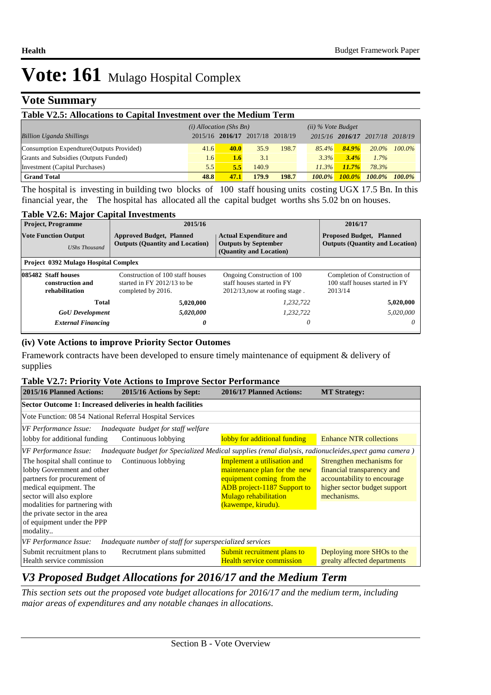### **Vote Summary**

| Table V2.5: Allocations to Capital Investment over the Medium Term |                           |      |                                 |       |                      |                                 |           |           |
|--------------------------------------------------------------------|---------------------------|------|---------------------------------|-------|----------------------|---------------------------------|-----------|-----------|
|                                                                    | $(i)$ Allocation (Shs Bn) |      |                                 |       | $(ii)$ % Vote Budget |                                 |           |           |
| <b>Billion Uganda Shillings</b>                                    |                           |      | 2015/16 2016/17 2017/18 2018/19 |       |                      | 2015/16 2016/17 2017/18 2018/19 |           |           |
| Consumption Expendture (Outputs Provided)                          | 41.6                      | 40.0 | 35.9                            | 198.7 | $85.4\%$             | 84.9%                           | $20.0\%$  | $100.0\%$ |
| Grants and Subsidies (Outputs Funded)                              | 1.6                       | 1.6  | 3.1                             |       | 3.3%                 | 3.4%                            | $1.7\%$   |           |
| Investment (Capital Purchases)                                     | 5.5                       | 5.5  | 140.9                           |       | 11.3%                | 11.7%                           | 78.3%     |           |
| <b>Grand Total</b>                                                 | 48.8                      | 47.1 | 179.9                           | 198.7 | $100.0\%$            | $100.0\%$                       | $100.0\%$ | $100.0\%$ |

The hospital is investing in building two blocks of 100 staff housing units costing UGX 17.5 Bn. In this financial year, the The hospital has allocated all the capital budget worths shs 5.02 bn on houses.

### **Table V2.6: Major Capital Investments**

| <b>Project, Programme</b>                                 | 2015/16                                                                                 | 2016/17                                                                                                                                                              |                                                                            |
|-----------------------------------------------------------|-----------------------------------------------------------------------------------------|----------------------------------------------------------------------------------------------------------------------------------------------------------------------|----------------------------------------------------------------------------|
| <b>Vote Function Output</b><br><b>UShs Thousand</b>       | <b>Approved Budget, Planned</b><br><b>Outputs (Quantity and Location)</b>               | <b>Proposed Budget, Planned</b><br><b>Actual Expenditure and</b><br><b>Outputs by September</b><br><b>Outputs (Quantity and Location)</b><br>(Quantity and Location) |                                                                            |
| <b>Project 0392 Mulago Hospital Complex</b>               |                                                                                         |                                                                                                                                                                      |                                                                            |
| 085482 Staff houses<br>construction and<br>rehabilitation | Construction of 100 staff houses<br>started in FY $2012/13$ to be<br>completed by 2016. | Ongoing Construction of 100<br>staff houses started in FY<br>$2012/13$ , now at roofing stage.                                                                       | Completion of Construction of<br>100 staff houses started in FY<br>2013/14 |
| Total                                                     | 5,020,000                                                                               | 1.232.722                                                                                                                                                            | 5,020,000                                                                  |
| <b>GoU</b> Development                                    | 5,020,000                                                                               | 1.232.722                                                                                                                                                            | 5.020,000                                                                  |
| <b>External Financing</b>                                 | 0                                                                                       | 0                                                                                                                                                                    | $\theta$                                                                   |

### **(iv) Vote Actions to improve Priority Sector Outomes**

Framework contracts have been developed to ensure timely maintenance of equipment & delivery of supplies

#### **Table V2.7: Priority Vote Actions to Improve Sector Performance**

| 2015/16 Planned Actions:                                                                                                                                                                                                                                        | 2015/16 Actions by Sept:                                                                               | 2016/17 Planned Actions:                                                                                                                                                      | <b>MT Strategy:</b>                                                                                                                   |  |  |  |  |
|-----------------------------------------------------------------------------------------------------------------------------------------------------------------------------------------------------------------------------------------------------------------|--------------------------------------------------------------------------------------------------------|-------------------------------------------------------------------------------------------------------------------------------------------------------------------------------|---------------------------------------------------------------------------------------------------------------------------------------|--|--|--|--|
| Sector Outcome 1: Increased deliveries in health facilities                                                                                                                                                                                                     |                                                                                                        |                                                                                                                                                                               |                                                                                                                                       |  |  |  |  |
| Vote Function: 08 54 National Referral Hospital Services                                                                                                                                                                                                        |                                                                                                        |                                                                                                                                                                               |                                                                                                                                       |  |  |  |  |
| VF Performance Issue:                                                                                                                                                                                                                                           | Inadequate budget for staff welfare                                                                    |                                                                                                                                                                               |                                                                                                                                       |  |  |  |  |
| lobby for additional funding                                                                                                                                                                                                                                    | Continuous lobbying                                                                                    | lobby for additional funding                                                                                                                                                  | <b>Enhance NTR collections</b>                                                                                                        |  |  |  |  |
| VF Performance Issue:                                                                                                                                                                                                                                           | Inadequate budget for Specialized Medical supplies (renal dialysis, radionucleides, spect gama camera) |                                                                                                                                                                               |                                                                                                                                       |  |  |  |  |
| The hospital shall continue to<br>lobby Government and other<br>partners for procurement of<br>medical equipment. The<br>sector will also explore<br>modalities for partnering with<br>the private sector in the area<br>of equipment under the PPP<br>modality | Continuous lobbying                                                                                    | Implement a utilisation and<br>maintenance plan for the new<br>equipment coming from the<br><b>ADB</b> project-1187 Support to<br>Mulago rehabilitation<br>(kawempe, kirudu). | Strengthen mechanisms for<br>financial transparency and<br>accountability to encourage<br>higher sector budget support<br>mechanisms. |  |  |  |  |
| VF Performance Issue:                                                                                                                                                                                                                                           | Inadequate number of staff for superspecialized services                                               |                                                                                                                                                                               |                                                                                                                                       |  |  |  |  |
| Submit recruitment plans to<br>Health service commission                                                                                                                                                                                                        | Recrutment plans submitted                                                                             | Submit recruitment plans to<br><b>Health service commission</b>                                                                                                               | Deploying more SHOs to the<br>grealty affected departments                                                                            |  |  |  |  |

### *V3 Proposed Budget Allocations for 2016/17 and the Medium Term*

*This section sets out the proposed vote budget allocations for 2016/17 and the medium term, including major areas of expenditures and any notable changes in allocations.*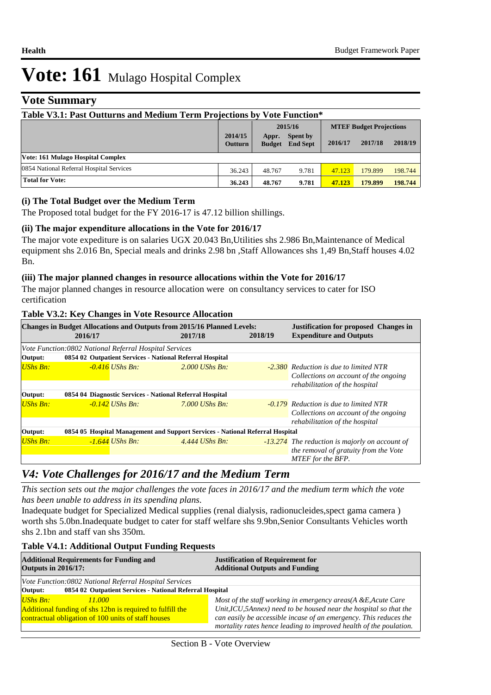### **Vote Summary**

| Table V3.1: Past Outturns and Medium Term Projections by Vote Function* |                           |                        |                             |                                |         |         |
|-------------------------------------------------------------------------|---------------------------|------------------------|-----------------------------|--------------------------------|---------|---------|
|                                                                         |                           | 2015/16                |                             | <b>MTEF Budget Projections</b> |         |         |
|                                                                         | 2014/15<br><b>Outturn</b> | Appr.<br><b>Budget</b> | Spent by<br><b>End Sept</b> | 2016/17                        | 2017/18 | 2018/19 |
| Vote: 161 Mulago Hospital Complex                                       |                           |                        |                             |                                |         |         |
| 0854 National Referral Hospital Services                                | 36.243                    | 48.767                 | 9.781                       | 47.123                         | 179.899 | 198.744 |
| <b>Total for Vote:</b>                                                  | 36.243                    | 48.767                 | 9.781                       | 47.123                         | 179.899 | 198.744 |

### **(i) The Total Budget over the Medium Term**

The Proposed total budget for the FY 2016-17 is 47.12 billion shillings.

### **(ii) The major expenditure allocations in the Vote for 2016/17**

The major vote expediture is on salaries UGX 20.043 Bn,Utilities shs 2.986 Bn,Maintenance of Medical equipment shs 2.016 Bn, Special meals and drinks 2.98 bn ,Staff Allowances shs 1,49 Bn,Staff houses 4.02 Bn.

### **(iii) The major planned changes in resource allocations within the Vote for 2016/17**

The major planned changes in resource allocation were on consultancy services to cater for ISO certification

### **Table V3.2: Key Changes in Vote Resource Allocation**

|                 | $\mathbf{\sigma}$<br>Changes in Budget Allocations and Outputs from 2015/16 Planned Levels:<br>2016/17             | 2017/18          | 2018/19 | <b>Justification for proposed Changes in</b><br><b>Expenditure and Outputs</b>                                           |  |  |  |
|-----------------|--------------------------------------------------------------------------------------------------------------------|------------------|---------|--------------------------------------------------------------------------------------------------------------------------|--|--|--|
| Output:         | Vote Function:0802 National Referral Hospital Services<br>0854 02 Outpatient Services - National Referral Hospital |                  |         |                                                                                                                          |  |  |  |
| <b>UShs Bn:</b> | $-0.416$ UShs Bn:                                                                                                  | $2.000$ UShs Bn. |         | <b>-2.380</b> Reduction is due to limited NTR<br>Collections on account of the ongoing<br>rehabilitation of the hospital |  |  |  |
| Output:         | 0854 04 Diagnostic Services - National Referral Hospital                                                           |                  |         |                                                                                                                          |  |  |  |
| <b>UShs Bn:</b> | $-0.142$ UShs Bn:                                                                                                  | $7.000$ UShs Bn: |         | <b>-0.179</b> Reduction is due to limited NTR<br>Collections on account of the ongoing<br>rehabilitation of the hospital |  |  |  |
| Output:         | 0854 05 Hospital Management and Support Services - National Referral Hospital                                      |                  |         |                                                                                                                          |  |  |  |
| <b>UShs Bn:</b> | $-1.644$ UShs Bn:                                                                                                  | 4.444 UShs Bn.   |         | -13.274 The reduction is majorly on account of<br>the removal of gratuity from the Vote<br>MTEF for the BFP.             |  |  |  |

# *V4: Vote Challenges for 2016/17 and the Medium Term*

*This section sets out the major challenges the vote faces in 2016/17 and the medium term which the vote has been unable to address in its spending plans.*

Inadequate budget for Specialized Medical supplies (renal dialysis, radionucleides,spect gama camera ) worth shs 5.0bn.Inadequate budget to cater for staff welfare shs 9.9bn,Senior Consultants Vehicles worth shs 2.1bn and staff van shs 350m.

### **Table V4.1: Additional Output Funding Requests**

| <b>Additional Requirements for Funding and</b><br><b>Outputs in 2016/17:</b> | <b>Justification of Requirement for</b><br><b>Additional Outputs and Funding</b> |  |  |  |
|------------------------------------------------------------------------------|----------------------------------------------------------------------------------|--|--|--|
| Vote Function:0802 National Referral Hospital Services                       |                                                                                  |  |  |  |
| 0854 02 Outpatient Services - National Referral Hospital<br>Output:          |                                                                                  |  |  |  |
| <b>UShs Bn:</b><br>11.000                                                    | Most of the staff working in emergency areas(A &E, Acute Care                    |  |  |  |
| Additional funding of shs 12bn is required to fulfill the                    | Unit, ICU, 5Annex) need to be housed near the hospital so that the               |  |  |  |
| contractual obligation of 100 units of staff houses                          | can easily be accessible incase of an emergency. This reduces the                |  |  |  |
|                                                                              | mortality rates hence leading to improved health of the poulation.               |  |  |  |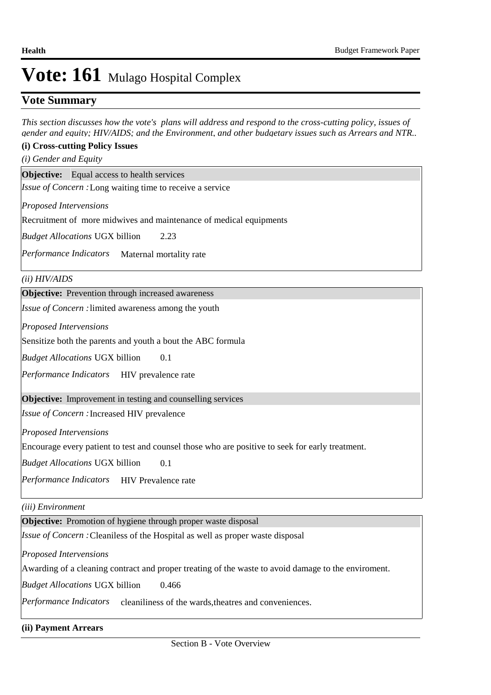### **Vote Summary**

*This section discusses how the vote's plans will address and respond to the cross-cutting policy, issues of gender and equity; HIV/AIDS; and the Environment, and other budgetary issues such as Arrears and NTR..* 

### **(i) Cross-cutting Policy Issues**

*(i) Gender and Equity*

**Objective:** Equal access to health services

Issue of Concern : Long waiting time to receive a service

*Proposed Intervensions* 

Recruitment of more midwives and maintenance of medical equipments

2.23 *Budget Allocations*  UGX billion

Performance Indicators Maternal mortality rate

*(ii) HIV/AIDS*

**Objective:** Prevention through increased awareness

Issue of Concern : limited awareness among the youth

*Proposed Intervensions* 

Sensitize both the parents and youth a bout the ABC formula

0.1 *Budget Allocations*  UGX billion

Performance Indicators HIV prevalence rate

**Objective:** Improvement in testing and counselling services

Issue of Concern : Increased HIV prevalence

*Proposed Intervensions* 

Encourage every patient to test and counsel those who are positive to seek for early treatment.

0.1 *Budget Allocations*  UGX billion

Performance Indicators HIV Prevalence rate

*(iii) Environment*

**Objective:** Promotion of hygiene through proper waste disposal

*Issue of Concern :* Cleaniless of the Hospital as well as proper waste disposal

*Proposed Intervensions* 

Awarding of a cleaning contract and proper treating of the waste to avoid damage to the enviroment.

0.466 *Budget Allocations*  UGX billion

Performance Indicators cleaniliness of the wards,theatres and conveniences.

**(ii) Payment Arrears**